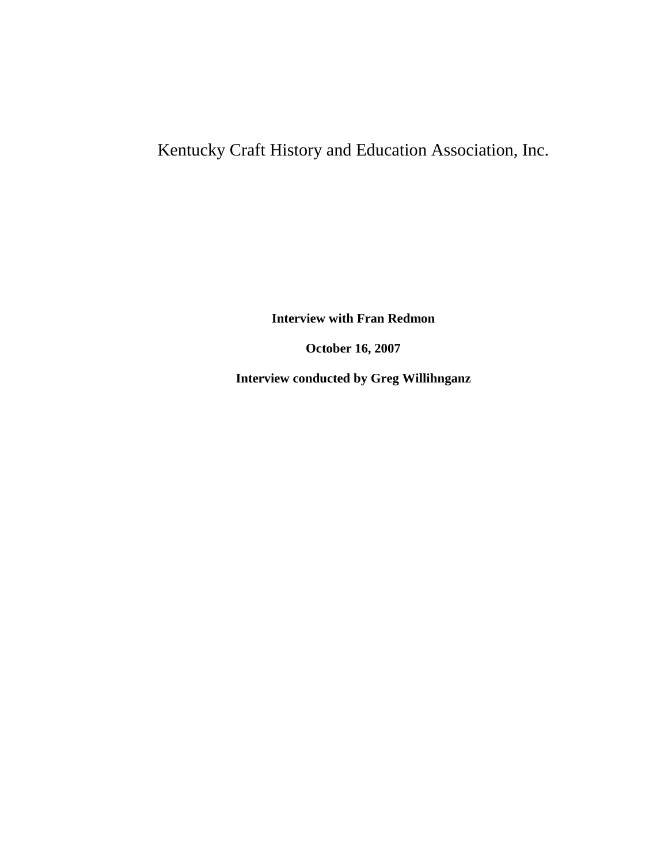## Kentucky Craft History and Education Association, Inc.

**Interview with Fran Redmon**

**October 16, 2007**

**Interview conducted by Greg Willihnganz**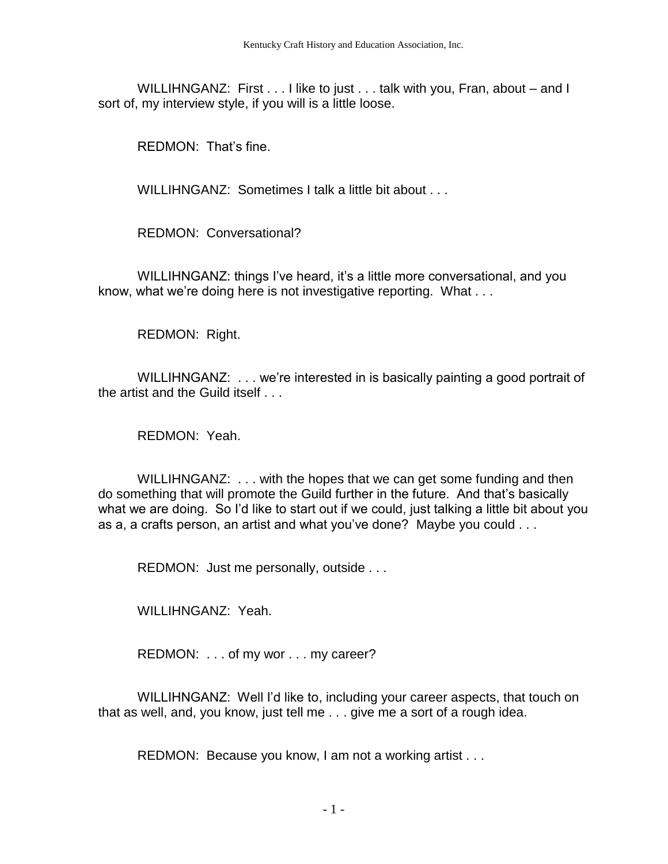WILLIHNGANZ: First . . . I like to just . . . talk with you, Fran, about – and I sort of, my interview style, if you will is a little loose.

REDMON: That's fine.

WILLIHNGANZ: Sometimes I talk a little bit about . . .

REDMON: Conversational?

WILLIHNGANZ: things I've heard, it's a little more conversational, and you know, what we're doing here is not investigative reporting. What . . .

REDMON: Right.

WILLIHNGANZ: . . . we're interested in is basically painting a good portrait of the artist and the Guild itself . . .

REDMON: Yeah.

WILLIHNGANZ: ... with the hopes that we can get some funding and then do something that will promote the Guild further in the future. And that's basically what we are doing. So I'd like to start out if we could, just talking a little bit about you as a, a crafts person, an artist and what you've done? Maybe you could . . .

REDMON: Just me personally, outside . . .

WILLIHNGANZ: Yeah.

REDMON: . . . of my wor . . . my career?

WILLIHNGANZ: Well I'd like to, including your career aspects, that touch on that as well, and, you know, just tell me . . . give me a sort of a rough idea.

REDMON: Because you know, I am not a working artist . . .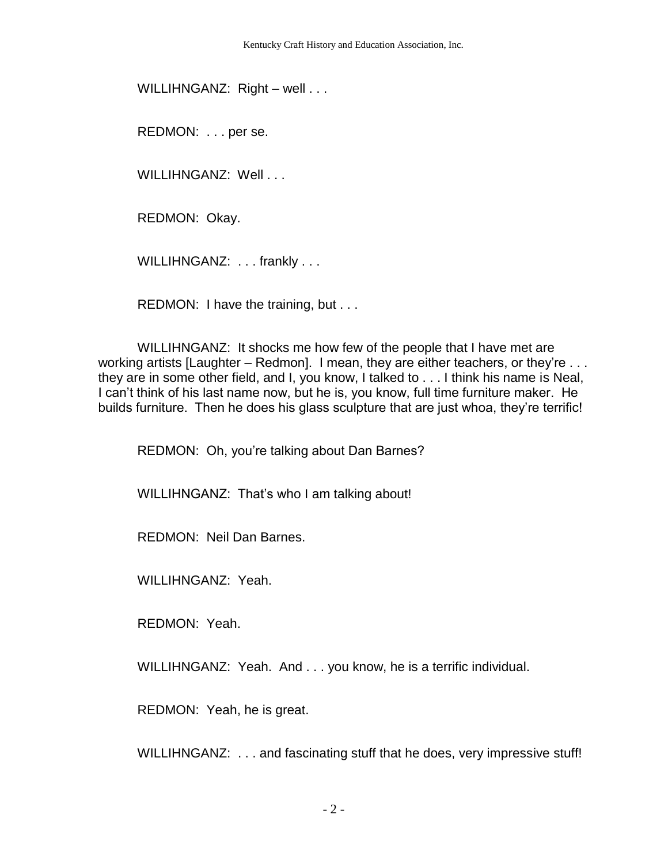WILLIHNGANZ: Right – well . . .

REDMON: . . . per se.

WILLIHNGANZ: Well . . .

REDMON: Okay.

WILLIHNGANZ: ... frankly ...

REDMON: I have the training, but . . .

WILLIHNGANZ: It shocks me how few of the people that I have met are working artists [Laughter – Redmon]. I mean, they are either teachers, or they're . . . they are in some other field, and I, you know, I talked to . . . I think his name is Neal, I can't think of his last name now, but he is, you know, full time furniture maker. He builds furniture. Then he does his glass sculpture that are just whoa, they're terrific!

REDMON: Oh, you're talking about Dan Barnes?

WILLIHNGANZ: That's who I am talking about!

REDMON: Neil Dan Barnes.

WILLIHNGANZ: Yeah.

REDMON: Yeah.

WILLIHNGANZ: Yeah. And . . . you know, he is a terrific individual.

REDMON: Yeah, he is great.

WILLIHNGANZ: . . . and fascinating stuff that he does, very impressive stuff!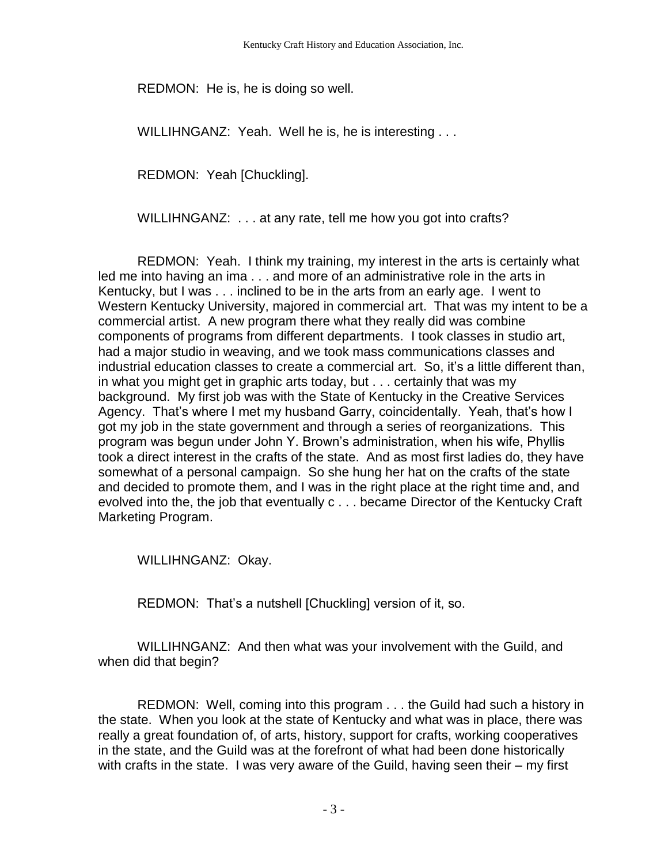REDMON: He is, he is doing so well.

WILLIHNGANZ: Yeah. Well he is, he is interesting . . .

REDMON: Yeah [Chuckling].

WILLIHNGANZ: . . . at any rate, tell me how you got into crafts?

REDMON: Yeah. I think my training, my interest in the arts is certainly what led me into having an ima . . . and more of an administrative role in the arts in Kentucky, but I was . . . inclined to be in the arts from an early age. I went to Western Kentucky University, majored in commercial art. That was my intent to be a commercial artist. A new program there what they really did was combine components of programs from different departments. I took classes in studio art, had a major studio in weaving, and we took mass communications classes and industrial education classes to create a commercial art. So, it's a little different than, in what you might get in graphic arts today, but . . . certainly that was my background. My first job was with the State of Kentucky in the Creative Services Agency. That's where I met my husband Garry, coincidentally. Yeah, that's how I got my job in the state government and through a series of reorganizations. This program was begun under John Y. Brown's administration, when his wife, Phyllis took a direct interest in the crafts of the state. And as most first ladies do, they have somewhat of a personal campaign. So she hung her hat on the crafts of the state and decided to promote them, and I was in the right place at the right time and, and evolved into the, the job that eventually c . . . became Director of the Kentucky Craft Marketing Program.

WILLIHNGANZ: Okay.

REDMON: That's a nutshell [Chuckling] version of it, so.

WILLIHNGANZ: And then what was your involvement with the Guild, and when did that begin?

REDMON: Well, coming into this program . . . the Guild had such a history in the state. When you look at the state of Kentucky and what was in place, there was really a great foundation of, of arts, history, support for crafts, working cooperatives in the state, and the Guild was at the forefront of what had been done historically with crafts in the state. I was very aware of the Guild, having seen their – my first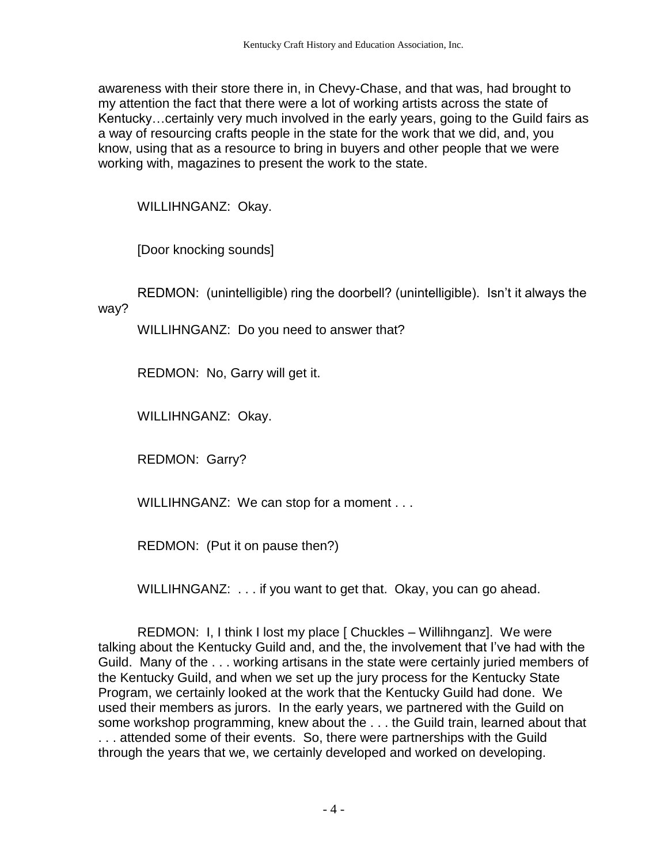awareness with their store there in, in Chevy-Chase, and that was, had brought to my attention the fact that there were a lot of working artists across the state of Kentucky…certainly very much involved in the early years, going to the Guild fairs as a way of resourcing crafts people in the state for the work that we did, and, you know, using that as a resource to bring in buyers and other people that we were working with, magazines to present the work to the state.

WILLIHNGANZ: Okay.

[Door knocking sounds]

REDMON: (unintelligible) ring the doorbell? (unintelligible). Isn't it always the way?

WILLIHNGANZ: Do you need to answer that?

REDMON: No, Garry will get it.

WILLIHNGANZ: Okay.

REDMON: Garry?

WILLIHNGANZ: We can stop for a moment . . .

REDMON: (Put it on pause then?)

WILLIHNGANZ: ... if you want to get that. Okay, you can go ahead.

REDMON: I, I think I lost my place [ Chuckles – Willihnganz]. We were talking about the Kentucky Guild and, and the, the involvement that I've had with the Guild. Many of the . . . working artisans in the state were certainly juried members of the Kentucky Guild, and when we set up the jury process for the Kentucky State Program, we certainly looked at the work that the Kentucky Guild had done. We used their members as jurors. In the early years, we partnered with the Guild on some workshop programming, knew about the . . . the Guild train, learned about that . . . attended some of their events. So, there were partnerships with the Guild through the years that we, we certainly developed and worked on developing.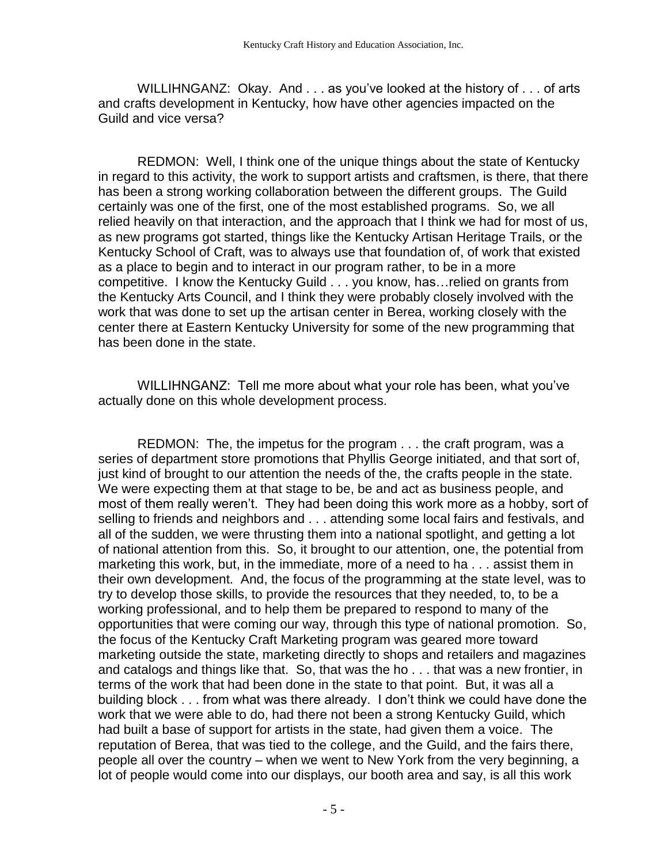WILLIHNGANZ: Okay. And . . . as you've looked at the history of . . . of arts and crafts development in Kentucky, how have other agencies impacted on the Guild and vice versa?

REDMON: Well, I think one of the unique things about the state of Kentucky in regard to this activity, the work to support artists and craftsmen, is there, that there has been a strong working collaboration between the different groups. The Guild certainly was one of the first, one of the most established programs. So, we all relied heavily on that interaction, and the approach that I think we had for most of us, as new programs got started, things like the Kentucky Artisan Heritage Trails, or the Kentucky School of Craft, was to always use that foundation of, of work that existed as a place to begin and to interact in our program rather, to be in a more competitive. I know the Kentucky Guild . . . you know, has…relied on grants from the Kentucky Arts Council, and I think they were probably closely involved with the work that was done to set up the artisan center in Berea, working closely with the center there at Eastern Kentucky University for some of the new programming that has been done in the state.

WILLIHNGANZ: Tell me more about what your role has been, what you've actually done on this whole development process.

REDMON: The, the impetus for the program . . . the craft program, was a series of department store promotions that Phyllis George initiated, and that sort of, just kind of brought to our attention the needs of the, the crafts people in the state. We were expecting them at that stage to be, be and act as business people, and most of them really weren't. They had been doing this work more as a hobby, sort of selling to friends and neighbors and . . . attending some local fairs and festivals, and all of the sudden, we were thrusting them into a national spotlight, and getting a lot of national attention from this. So, it brought to our attention, one, the potential from marketing this work, but, in the immediate, more of a need to ha . . . assist them in their own development. And, the focus of the programming at the state level, was to try to develop those skills, to provide the resources that they needed, to, to be a working professional, and to help them be prepared to respond to many of the opportunities that were coming our way, through this type of national promotion. So, the focus of the Kentucky Craft Marketing program was geared more toward marketing outside the state, marketing directly to shops and retailers and magazines and catalogs and things like that. So, that was the ho . . . that was a new frontier, in terms of the work that had been done in the state to that point. But, it was all a building block . . . from what was there already. I don't think we could have done the work that we were able to do, had there not been a strong Kentucky Guild, which had built a base of support for artists in the state, had given them a voice. The reputation of Berea, that was tied to the college, and the Guild, and the fairs there, people all over the country – when we went to New York from the very beginning, a lot of people would come into our displays, our booth area and say, is all this work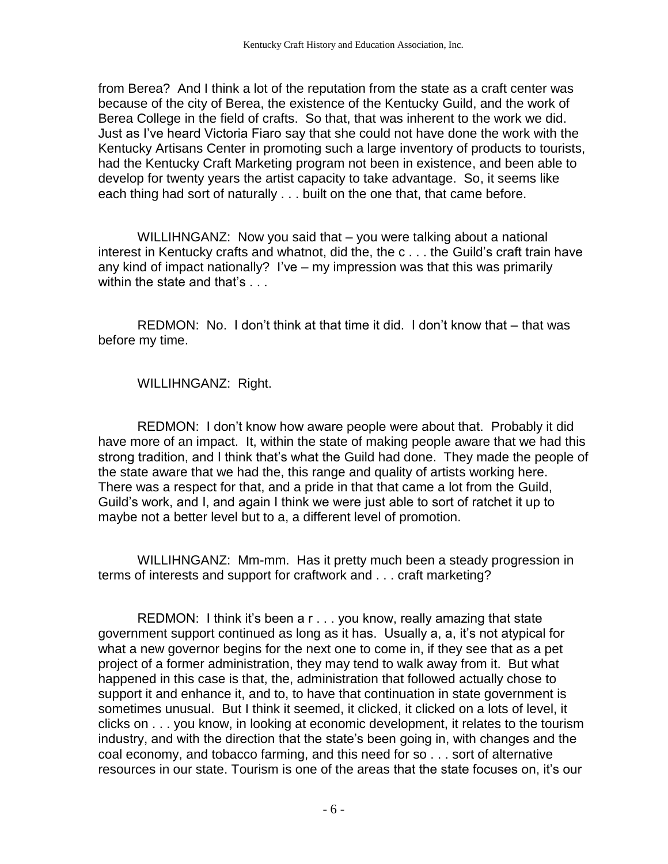from Berea? And I think a lot of the reputation from the state as a craft center was because of the city of Berea, the existence of the Kentucky Guild, and the work of Berea College in the field of crafts. So that, that was inherent to the work we did. Just as I've heard Victoria Fiaro say that she could not have done the work with the Kentucky Artisans Center in promoting such a large inventory of products to tourists, had the Kentucky Craft Marketing program not been in existence, and been able to develop for twenty years the artist capacity to take advantage. So, it seems like each thing had sort of naturally . . . built on the one that, that came before.

WILLIHNGANZ: Now you said that – you were talking about a national interest in Kentucky crafts and whatnot, did the, the c . . . the Guild's craft train have any kind of impact nationally? I've – my impression was that this was primarily within the state and that's . . .

REDMON: No. I don't think at that time it did. I don't know that – that was before my time.

WILLIHNGANZ: Right.

REDMON: I don't know how aware people were about that. Probably it did have more of an impact. It, within the state of making people aware that we had this strong tradition, and I think that's what the Guild had done. They made the people of the state aware that we had the, this range and quality of artists working here. There was a respect for that, and a pride in that that came a lot from the Guild, Guild's work, and I, and again I think we were just able to sort of ratchet it up to maybe not a better level but to a, a different level of promotion.

WILLIHNGANZ: Mm-mm. Has it pretty much been a steady progression in terms of interests and support for craftwork and . . . craft marketing?

REDMON: I think it's been a r . . . you know, really amazing that state government support continued as long as it has. Usually a, a, it's not atypical for what a new governor begins for the next one to come in, if they see that as a pet project of a former administration, they may tend to walk away from it. But what happened in this case is that, the, administration that followed actually chose to support it and enhance it, and to, to have that continuation in state government is sometimes unusual. But I think it seemed, it clicked, it clicked on a lots of level, it clicks on . . . you know, in looking at economic development, it relates to the tourism industry, and with the direction that the state's been going in, with changes and the coal economy, and tobacco farming, and this need for so . . . sort of alternative resources in our state. Tourism is one of the areas that the state focuses on, it's our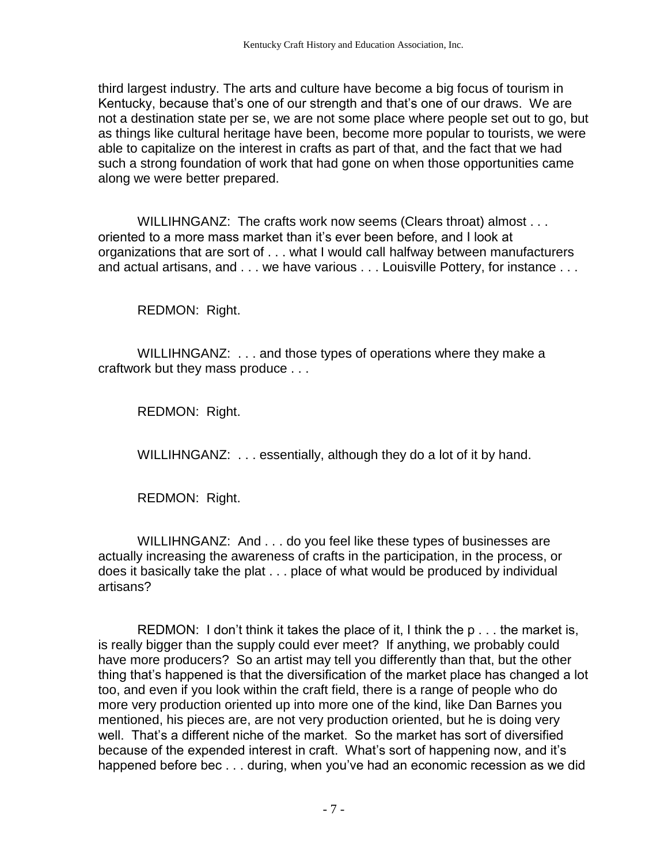third largest industry. The arts and culture have become a big focus of tourism in Kentucky, because that's one of our strength and that's one of our draws. We are not a destination state per se, we are not some place where people set out to go, but as things like cultural heritage have been, become more popular to tourists, we were able to capitalize on the interest in crafts as part of that, and the fact that we had such a strong foundation of work that had gone on when those opportunities came along we were better prepared.

WILLIHNGANZ: The crafts work now seems (Clears throat) almost . . . oriented to a more mass market than it's ever been before, and I look at organizations that are sort of . . . what I would call halfway between manufacturers and actual artisans, and . . . we have various . . . Louisville Pottery, for instance . . .

REDMON: Right.

WILLIHNGANZ: . . . and those types of operations where they make a craftwork but they mass produce . . .

REDMON: Right.

WILLIHNGANZ: . . . essentially, although they do a lot of it by hand.

REDMON: Right.

WILLIHNGANZ: And . . . do you feel like these types of businesses are actually increasing the awareness of crafts in the participation, in the process, or does it basically take the plat . . . place of what would be produced by individual artisans?

REDMON: I don't think it takes the place of it, I think the p . . . the market is, is really bigger than the supply could ever meet? If anything, we probably could have more producers? So an artist may tell you differently than that, but the other thing that's happened is that the diversification of the market place has changed a lot too, and even if you look within the craft field, there is a range of people who do more very production oriented up into more one of the kind, like Dan Barnes you mentioned, his pieces are, are not very production oriented, but he is doing very well. That's a different niche of the market. So the market has sort of diversified because of the expended interest in craft. What's sort of happening now, and it's happened before bec . . . during, when you've had an economic recession as we did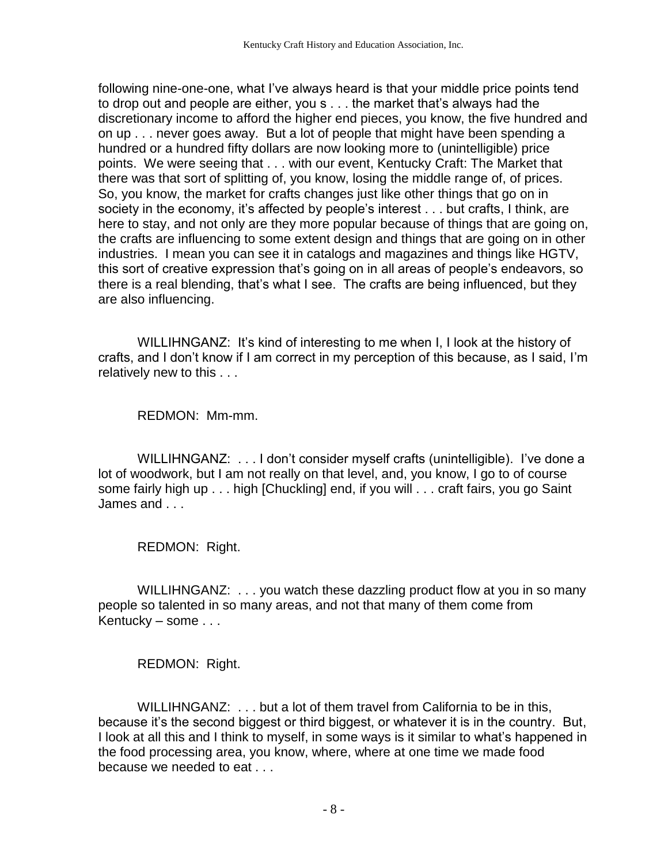following nine-one-one, what I've always heard is that your middle price points tend to drop out and people are either, you s . . . the market that's always had the discretionary income to afford the higher end pieces, you know, the five hundred and on up . . . never goes away. But a lot of people that might have been spending a hundred or a hundred fifty dollars are now looking more to (unintelligible) price points. We were seeing that . . . with our event, Kentucky Craft: The Market that there was that sort of splitting of, you know, losing the middle range of, of prices. So, you know, the market for crafts changes just like other things that go on in society in the economy, it's affected by people's interest . . . but crafts, I think, are here to stay, and not only are they more popular because of things that are going on, the crafts are influencing to some extent design and things that are going on in other industries. I mean you can see it in catalogs and magazines and things like HGTV, this sort of creative expression that's going on in all areas of people's endeavors, so there is a real blending, that's what I see. The crafts are being influenced, but they are also influencing.

WILLIHNGANZ: It's kind of interesting to me when I, I look at the history of crafts, and I don't know if I am correct in my perception of this because, as I said, I'm relatively new to this . . .

REDMON: Mm-mm.

WILLIHNGANZ: . . . I don't consider myself crafts (unintelligible). I've done a lot of woodwork, but I am not really on that level, and, you know, I go to of course some fairly high up . . . high [Chuckling] end, if you will . . . craft fairs, you go Saint James and . . .

REDMON: Right.

WILLIHNGANZ: ... you watch these dazzling product flow at you in so many people so talented in so many areas, and not that many of them come from Kentucky – some . . .

REDMON: Right.

WILLIHNGANZ: . . . but a lot of them travel from California to be in this, because it's the second biggest or third biggest, or whatever it is in the country. But, I look at all this and I think to myself, in some ways is it similar to what's happened in the food processing area, you know, where, where at one time we made food because we needed to eat . . .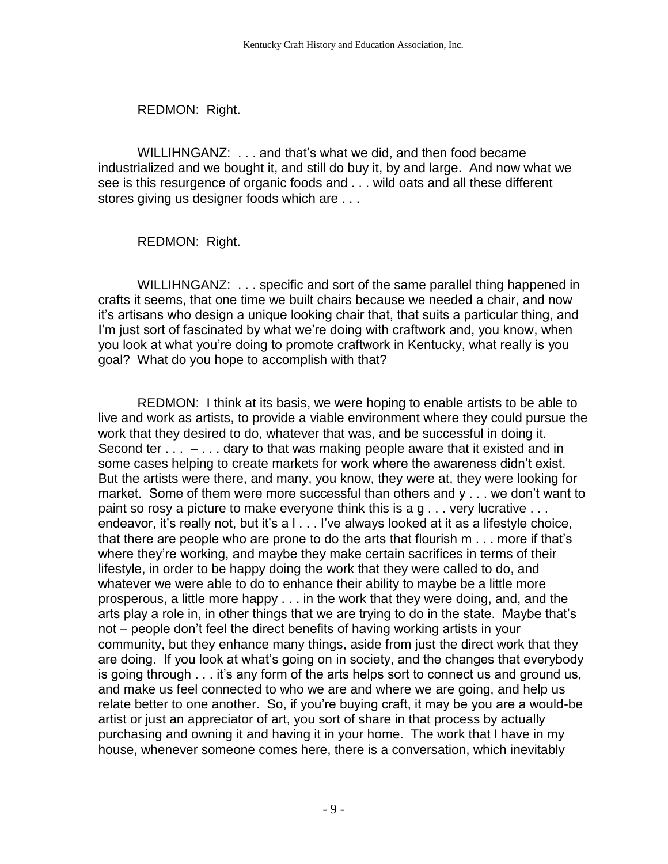REDMON: Right.

WILLIHNGANZ: . . . and that's what we did, and then food became industrialized and we bought it, and still do buy it, by and large. And now what we see is this resurgence of organic foods and . . . wild oats and all these different stores giving us designer foods which are . . .

REDMON: Right.

WILLIHNGANZ: . . . specific and sort of the same parallel thing happened in crafts it seems, that one time we built chairs because we needed a chair, and now it's artisans who design a unique looking chair that, that suits a particular thing, and I'm just sort of fascinated by what we're doing with craftwork and, you know, when you look at what you're doing to promote craftwork in Kentucky, what really is you goal? What do you hope to accomplish with that?

REDMON: I think at its basis, we were hoping to enable artists to be able to live and work as artists, to provide a viable environment where they could pursue the work that they desired to do, whatever that was, and be successful in doing it. Second ter  $\dots$  –  $\dots$  dary to that was making people aware that it existed and in some cases helping to create markets for work where the awareness didn't exist. But the artists were there, and many, you know, they were at, they were looking for market. Some of them were more successful than others and y . . . we don't want to paint so rosy a picture to make everyone think this is a g . . . very lucrative . . . endeavor, it's really not, but it's a l . . . I've always looked at it as a lifestyle choice, that there are people who are prone to do the arts that flourish m . . . more if that's where they're working, and maybe they make certain sacrifices in terms of their lifestyle, in order to be happy doing the work that they were called to do, and whatever we were able to do to enhance their ability to maybe be a little more prosperous, a little more happy . . . in the work that they were doing, and, and the arts play a role in, in other things that we are trying to do in the state. Maybe that's not – people don't feel the direct benefits of having working artists in your community, but they enhance many things, aside from just the direct work that they are doing. If you look at what's going on in society, and the changes that everybody is going through . . . it's any form of the arts helps sort to connect us and ground us, and make us feel connected to who we are and where we are going, and help us relate better to one another. So, if you're buying craft, it may be you are a would-be artist or just an appreciator of art, you sort of share in that process by actually purchasing and owning it and having it in your home. The work that I have in my house, whenever someone comes here, there is a conversation, which inevitably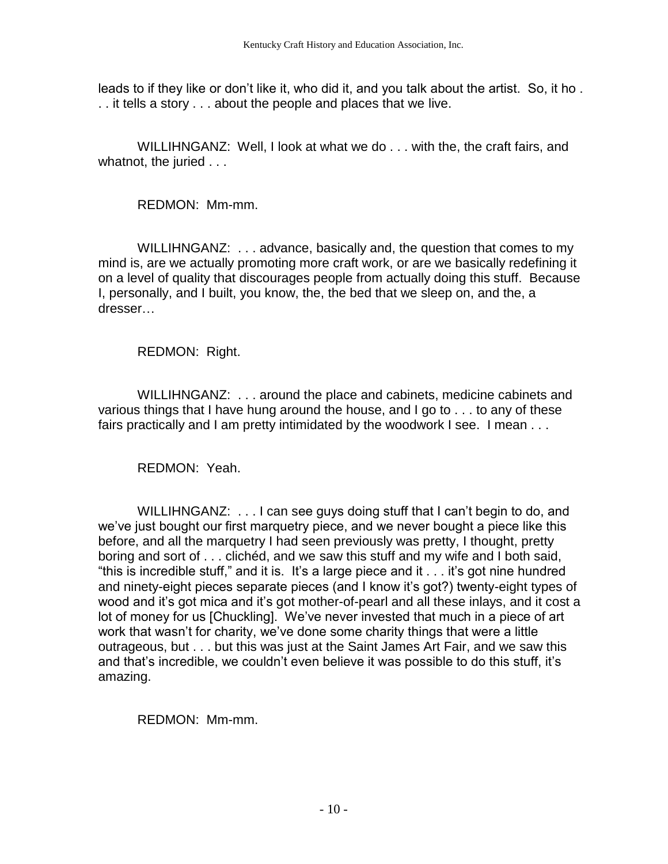leads to if they like or don't like it, who did it, and you talk about the artist. So, it ho . . . it tells a story . . . about the people and places that we live.

WILLIHNGANZ: Well, I look at what we do . . . with the, the craft fairs, and whatnot, the juried . . .

REDMON: Mm-mm.

WILLIHNGANZ: . . . advance, basically and, the question that comes to my mind is, are we actually promoting more craft work, or are we basically redefining it on a level of quality that discourages people from actually doing this stuff. Because I, personally, and I built, you know, the, the bed that we sleep on, and the, a dresser…

REDMON: Right.

WILLIHNGANZ: . . . around the place and cabinets, medicine cabinets and various things that I have hung around the house, and I go to . . . to any of these fairs practically and I am pretty intimidated by the woodwork I see. I mean . . .

REDMON: Yeah.

WILLIHNGANZ: . . . I can see guys doing stuff that I can't begin to do, and we've just bought our first marquetry piece, and we never bought a piece like this before, and all the marquetry I had seen previously was pretty, I thought, pretty boring and sort of . . . clichéd, and we saw this stuff and my wife and I both said, "this is incredible stuff," and it is. It's a large piece and it . . . it's got nine hundred and ninety-eight pieces separate pieces (and I know it's got?) twenty-eight types of wood and it's got mica and it's got mother-of-pearl and all these inlays, and it cost a lot of money for us [Chuckling]. We've never invested that much in a piece of art work that wasn't for charity, we've done some charity things that were a little outrageous, but . . . but this was just at the Saint James Art Fair, and we saw this and that's incredible, we couldn't even believe it was possible to do this stuff, it's amazing.

REDMON: Mm-mm.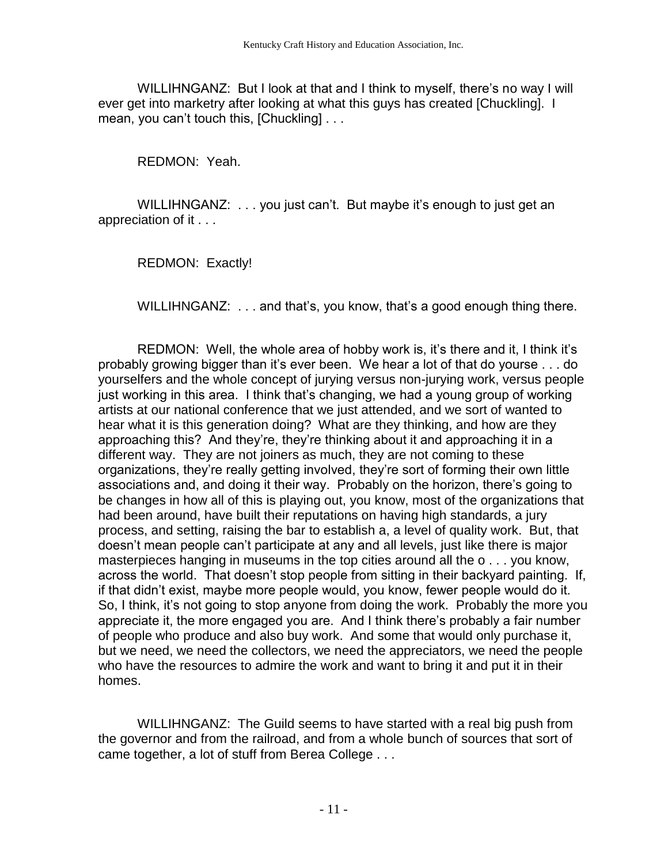WILLIHNGANZ: But I look at that and I think to myself, there's no way I will ever get into marketry after looking at what this guys has created [Chuckling]. I mean, you can't touch this, [Chuckling] . . .

REDMON: Yeah.

WILLIHNGANZ: ... you just can't. But maybe it's enough to just get an appreciation of it . . .

REDMON: Exactly!

WILLIHNGANZ: . . . and that's, you know, that's a good enough thing there.

REDMON: Well, the whole area of hobby work is, it's there and it, I think it's probably growing bigger than it's ever been. We hear a lot of that do yourse . . . do yourselfers and the whole concept of jurying versus non-jurying work, versus people just working in this area. I think that's changing, we had a young group of working artists at our national conference that we just attended, and we sort of wanted to hear what it is this generation doing? What are they thinking, and how are they approaching this? And they're, they're thinking about it and approaching it in a different way. They are not joiners as much, they are not coming to these organizations, they're really getting involved, they're sort of forming their own little associations and, and doing it their way. Probably on the horizon, there's going to be changes in how all of this is playing out, you know, most of the organizations that had been around, have built their reputations on having high standards, a jury process, and setting, raising the bar to establish a, a level of quality work. But, that doesn't mean people can't participate at any and all levels, just like there is major masterpieces hanging in museums in the top cities around all the o . . . you know, across the world. That doesn't stop people from sitting in their backyard painting. If, if that didn't exist, maybe more people would, you know, fewer people would do it. So, I think, it's not going to stop anyone from doing the work. Probably the more you appreciate it, the more engaged you are. And I think there's probably a fair number of people who produce and also buy work. And some that would only purchase it, but we need, we need the collectors, we need the appreciators, we need the people who have the resources to admire the work and want to bring it and put it in their homes.

WILLIHNGANZ: The Guild seems to have started with a real big push from the governor and from the railroad, and from a whole bunch of sources that sort of came together, a lot of stuff from Berea College . . .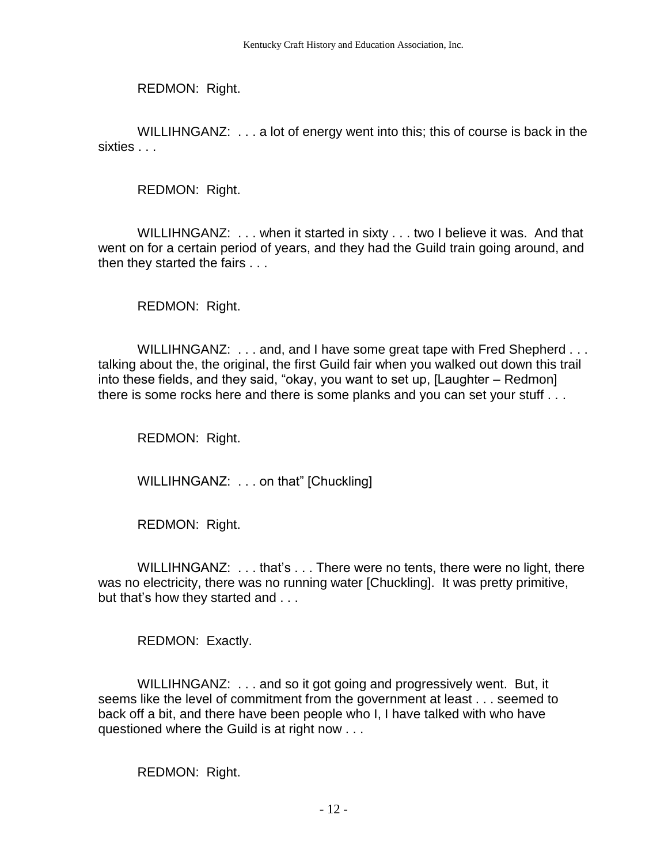REDMON: Right.

WILLIHNGANZ: . . . a lot of energy went into this; this of course is back in the sixties . . .

REDMON: Right.

WILLIHNGANZ: . . . when it started in sixty . . . two I believe it was. And that went on for a certain period of years, and they had the Guild train going around, and then they started the fairs . . .

REDMON: Right.

WILLIHNGANZ: ... and, and I have some great tape with Fred Shepherd ... talking about the, the original, the first Guild fair when you walked out down this trail into these fields, and they said, "okay, you want to set up, [Laughter – Redmon] there is some rocks here and there is some planks and you can set your stuff . . .

REDMON: Right.

WILLIHNGANZ: . . . on that" [Chuckling]

REDMON: Right.

WILLIHNGANZ: . . . that's . . . There were no tents, there were no light, there was no electricity, there was no running water [Chuckling]. It was pretty primitive, but that's how they started and . . .

REDMON: Exactly.

WILLIHNGANZ: . . . and so it got going and progressively went. But, it seems like the level of commitment from the government at least . . . seemed to back off a bit, and there have been people who I, I have talked with who have questioned where the Guild is at right now . . .

REDMON: Right.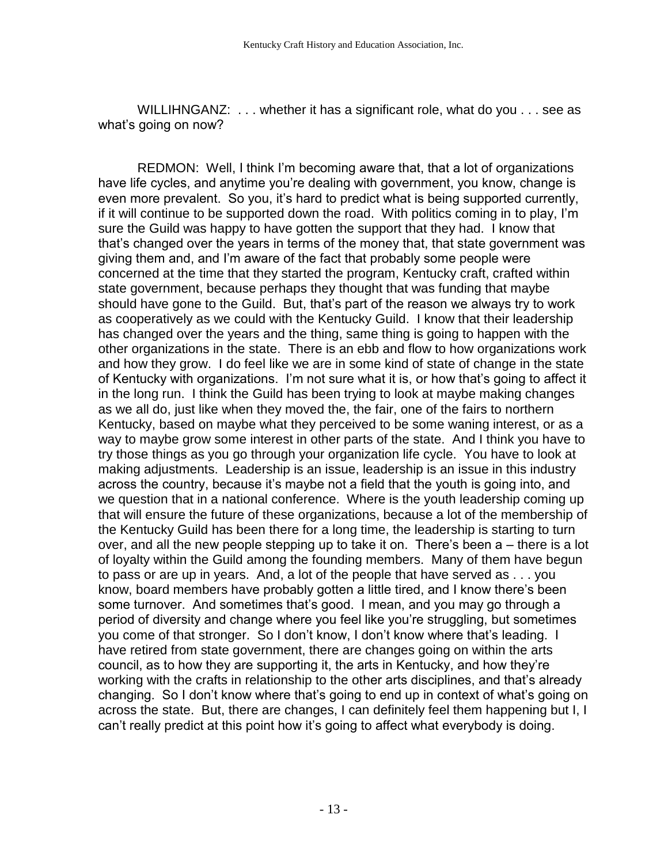WILLIHNGANZ: ... whether it has a significant role, what do you ... see as what's going on now?

REDMON: Well, I think I'm becoming aware that, that a lot of organizations have life cycles, and anytime you're dealing with government, you know, change is even more prevalent. So you, it's hard to predict what is being supported currently, if it will continue to be supported down the road. With politics coming in to play, I'm sure the Guild was happy to have gotten the support that they had. I know that that's changed over the years in terms of the money that, that state government was giving them and, and I'm aware of the fact that probably some people were concerned at the time that they started the program, Kentucky craft, crafted within state government, because perhaps they thought that was funding that maybe should have gone to the Guild. But, that's part of the reason we always try to work as cooperatively as we could with the Kentucky Guild. I know that their leadership has changed over the years and the thing, same thing is going to happen with the other organizations in the state. There is an ebb and flow to how organizations work and how they grow. I do feel like we are in some kind of state of change in the state of Kentucky with organizations. I'm not sure what it is, or how that's going to affect it in the long run. I think the Guild has been trying to look at maybe making changes as we all do, just like when they moved the, the fair, one of the fairs to northern Kentucky, based on maybe what they perceived to be some waning interest, or as a way to maybe grow some interest in other parts of the state. And I think you have to try those things as you go through your organization life cycle. You have to look at making adjustments. Leadership is an issue, leadership is an issue in this industry across the country, because it's maybe not a field that the youth is going into, and we question that in a national conference. Where is the youth leadership coming up that will ensure the future of these organizations, because a lot of the membership of the Kentucky Guild has been there for a long time, the leadership is starting to turn over, and all the new people stepping up to take it on. There's been a – there is a lot of loyalty within the Guild among the founding members. Many of them have begun to pass or are up in years. And, a lot of the people that have served as . . . you know, board members have probably gotten a little tired, and I know there's been some turnover. And sometimes that's good. I mean, and you may go through a period of diversity and change where you feel like you're struggling, but sometimes you come of that stronger. So I don't know, I don't know where that's leading. I have retired from state government, there are changes going on within the arts council, as to how they are supporting it, the arts in Kentucky, and how they're working with the crafts in relationship to the other arts disciplines, and that's already changing. So I don't know where that's going to end up in context of what's going on across the state. But, there are changes, I can definitely feel them happening but I, I can't really predict at this point how it's going to affect what everybody is doing.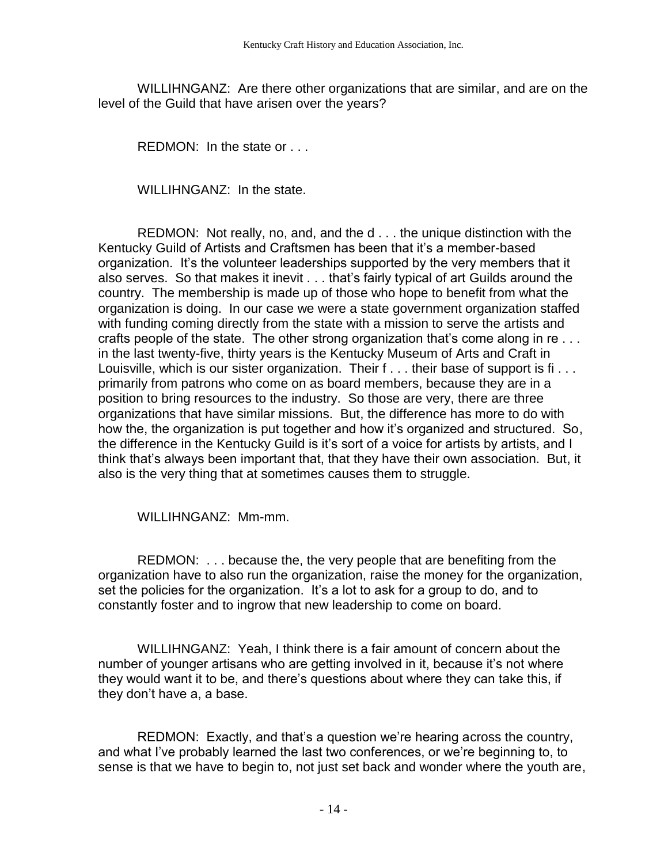WILLIHNGANZ: Are there other organizations that are similar, and are on the level of the Guild that have arisen over the years?

REDMON: In the state or . . .

WILLIHNGANZ: In the state.

REDMON: Not really, no, and, and the d . . . the unique distinction with the Kentucky Guild of Artists and Craftsmen has been that it's a member-based organization. It's the volunteer leaderships supported by the very members that it also serves. So that makes it inevit . . . that's fairly typical of art Guilds around the country. The membership is made up of those who hope to benefit from what the organization is doing. In our case we were a state government organization staffed with funding coming directly from the state with a mission to serve the artists and crafts people of the state. The other strong organization that's come along in re . . . in the last twenty-five, thirty years is the Kentucky Museum of Arts and Craft in Louisville, which is our sister organization. Their f . . . their base of support is fi... primarily from patrons who come on as board members, because they are in a position to bring resources to the industry. So those are very, there are three organizations that have similar missions. But, the difference has more to do with how the, the organization is put together and how it's organized and structured. So, the difference in the Kentucky Guild is it's sort of a voice for artists by artists, and I think that's always been important that, that they have their own association. But, it also is the very thing that at sometimes causes them to struggle.

WILLIHNGANZ: Mm-mm.

REDMON: . . . because the, the very people that are benefiting from the organization have to also run the organization, raise the money for the organization, set the policies for the organization. It's a lot to ask for a group to do, and to constantly foster and to ingrow that new leadership to come on board.

WILLIHNGANZ: Yeah, I think there is a fair amount of concern about the number of younger artisans who are getting involved in it, because it's not where they would want it to be, and there's questions about where they can take this, if they don't have a, a base.

REDMON: Exactly, and that's a question we're hearing across the country, and what I've probably learned the last two conferences, or we're beginning to, to sense is that we have to begin to, not just set back and wonder where the youth are,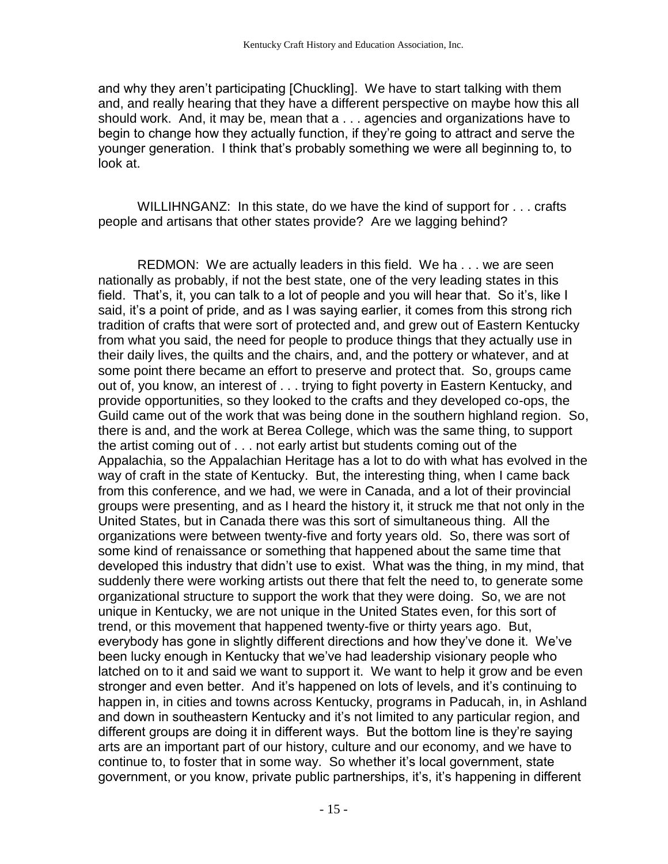and why they aren't participating [Chuckling]. We have to start talking with them and, and really hearing that they have a different perspective on maybe how this all should work. And, it may be, mean that a . . . agencies and organizations have to begin to change how they actually function, if they're going to attract and serve the younger generation. I think that's probably something we were all beginning to, to look at.

WILLIHNGANZ: In this state, do we have the kind of support for . . . crafts people and artisans that other states provide? Are we lagging behind?

REDMON: We are actually leaders in this field. We ha . . . we are seen nationally as probably, if not the best state, one of the very leading states in this field. That's, it, you can talk to a lot of people and you will hear that. So it's, like I said, it's a point of pride, and as I was saying earlier, it comes from this strong rich tradition of crafts that were sort of protected and, and grew out of Eastern Kentucky from what you said, the need for people to produce things that they actually use in their daily lives, the quilts and the chairs, and, and the pottery or whatever, and at some point there became an effort to preserve and protect that. So, groups came out of, you know, an interest of . . . trying to fight poverty in Eastern Kentucky, and provide opportunities, so they looked to the crafts and they developed co-ops, the Guild came out of the work that was being done in the southern highland region. So, there is and, and the work at Berea College, which was the same thing, to support the artist coming out of . . . not early artist but students coming out of the Appalachia, so the Appalachian Heritage has a lot to do with what has evolved in the way of craft in the state of Kentucky. But, the interesting thing, when I came back from this conference, and we had, we were in Canada, and a lot of their provincial groups were presenting, and as I heard the history it, it struck me that not only in the United States, but in Canada there was this sort of simultaneous thing. All the organizations were between twenty-five and forty years old. So, there was sort of some kind of renaissance or something that happened about the same time that developed this industry that didn't use to exist. What was the thing, in my mind, that suddenly there were working artists out there that felt the need to, to generate some organizational structure to support the work that they were doing. So, we are not unique in Kentucky, we are not unique in the United States even, for this sort of trend, or this movement that happened twenty-five or thirty years ago. But, everybody has gone in slightly different directions and how they've done it. We've been lucky enough in Kentucky that we've had leadership visionary people who latched on to it and said we want to support it. We want to help it grow and be even stronger and even better. And it's happened on lots of levels, and it's continuing to happen in, in cities and towns across Kentucky, programs in Paducah, in, in Ashland and down in southeastern Kentucky and it's not limited to any particular region, and different groups are doing it in different ways. But the bottom line is they're saying arts are an important part of our history, culture and our economy, and we have to continue to, to foster that in some way. So whether it's local government, state government, or you know, private public partnerships, it's, it's happening in different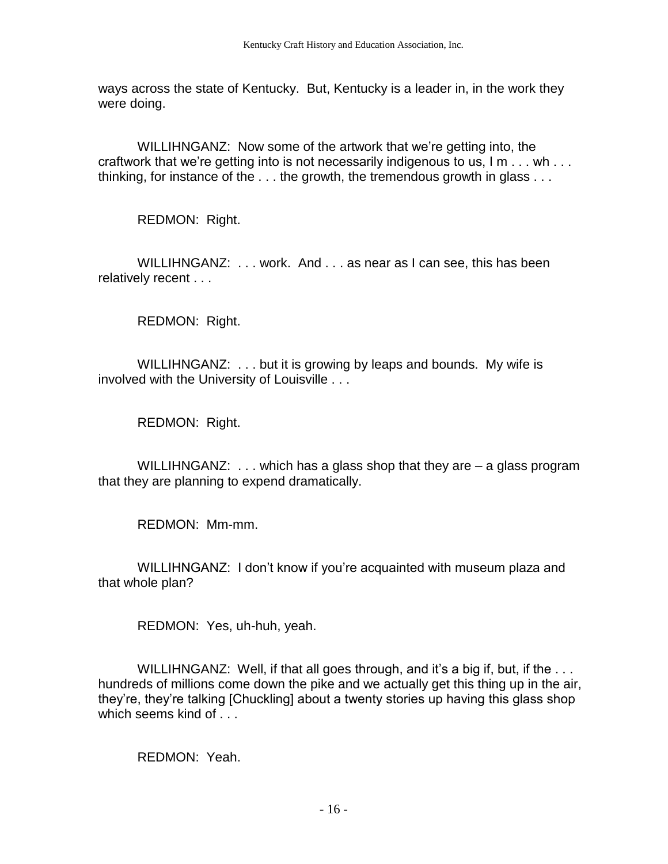ways across the state of Kentucky. But, Kentucky is a leader in, in the work they were doing.

WILLIHNGANZ: Now some of the artwork that we're getting into, the craftwork that we're getting into is not necessarily indigenous to us, I m . . . wh . . . thinking, for instance of the . . . the growth, the tremendous growth in glass . . .

REDMON: Right.

WILLIHNGANZ: ... work. And ... as near as I can see, this has been relatively recent . . .

REDMON: Right.

WILLIHNGANZ: . . . but it is growing by leaps and bounds. My wife is involved with the University of Louisville . . .

REDMON: Right.

WILLIHNGANZ:  $\dots$  which has a glass shop that they are  $-$  a glass program that they are planning to expend dramatically.

REDMON: Mm-mm.

WILLIHNGANZ: I don't know if you're acquainted with museum plaza and that whole plan?

REDMON: Yes, uh-huh, yeah.

WILLIHNGANZ: Well, if that all goes through, and it's a big if, but, if the ... hundreds of millions come down the pike and we actually get this thing up in the air, they're, they're talking [Chuckling] about a twenty stories up having this glass shop which seems kind of . . .

REDMON: Yeah.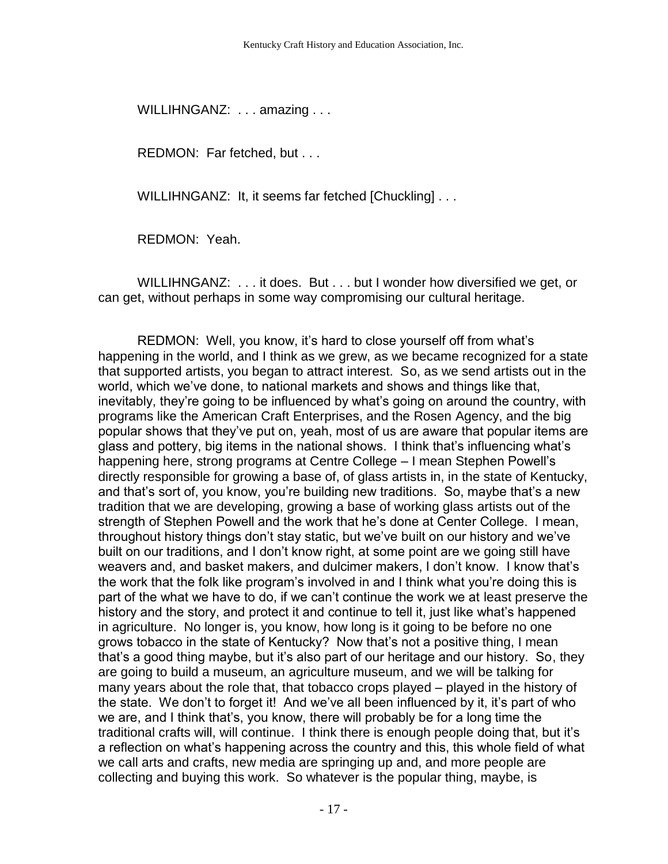WILLIHNGANZ: . . . amazing . . .

REDMON: Far fetched, but . . .

WILLIHNGANZ: It, it seems far fetched [Chuckling] . . .

REDMON: Yeah.

WILLIHNGANZ: . . . it does. But . . . but I wonder how diversified we get, or can get, without perhaps in some way compromising our cultural heritage.

REDMON: Well, you know, it's hard to close yourself off from what's happening in the world, and I think as we grew, as we became recognized for a state that supported artists, you began to attract interest. So, as we send artists out in the world, which we've done, to national markets and shows and things like that, inevitably, they're going to be influenced by what's going on around the country, with programs like the American Craft Enterprises, and the Rosen Agency, and the big popular shows that they've put on, yeah, most of us are aware that popular items are glass and pottery, big items in the national shows. I think that's influencing what's happening here, strong programs at Centre College – I mean Stephen Powell's directly responsible for growing a base of, of glass artists in, in the state of Kentucky, and that's sort of, you know, you're building new traditions. So, maybe that's a new tradition that we are developing, growing a base of working glass artists out of the strength of Stephen Powell and the work that he's done at Center College. I mean, throughout history things don't stay static, but we've built on our history and we've built on our traditions, and I don't know right, at some point are we going still have weavers and, and basket makers, and dulcimer makers, I don't know. I know that's the work that the folk like program's involved in and I think what you're doing this is part of the what we have to do, if we can't continue the work we at least preserve the history and the story, and protect it and continue to tell it, just like what's happened in agriculture. No longer is, you know, how long is it going to be before no one grows tobacco in the state of Kentucky? Now that's not a positive thing, I mean that's a good thing maybe, but it's also part of our heritage and our history. So, they are going to build a museum, an agriculture museum, and we will be talking for many years about the role that, that tobacco crops played – played in the history of the state. We don't to forget it! And we've all been influenced by it, it's part of who we are, and I think that's, you know, there will probably be for a long time the traditional crafts will, will continue. I think there is enough people doing that, but it's a reflection on what's happening across the country and this, this whole field of what we call arts and crafts, new media are springing up and, and more people are collecting and buying this work. So whatever is the popular thing, maybe, is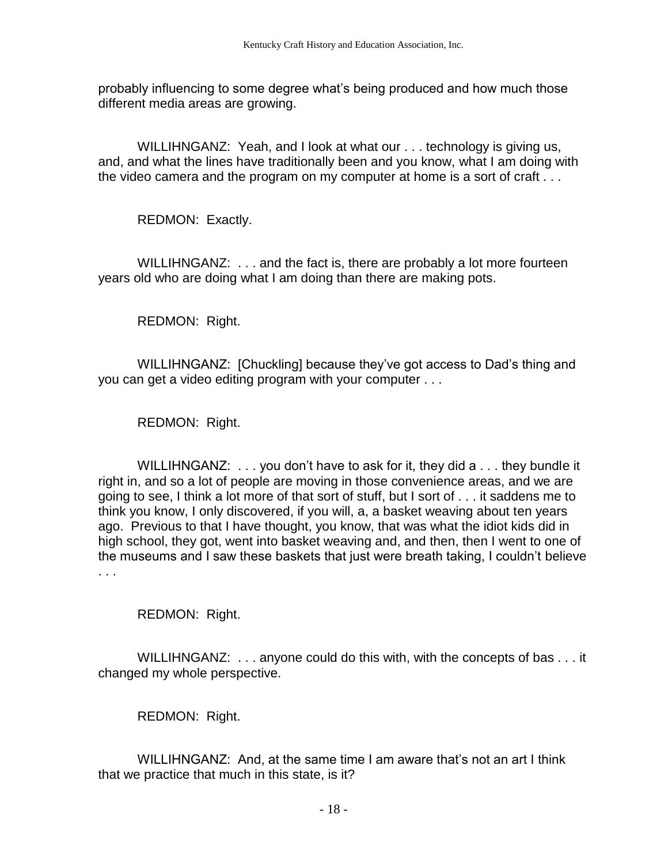probably influencing to some degree what's being produced and how much those different media areas are growing.

WILLIHNGANZ: Yeah, and I look at what our . . . technology is giving us, and, and what the lines have traditionally been and you know, what I am doing with the video camera and the program on my computer at home is a sort of craft . . .

REDMON: Exactly.

WILLIHNGANZ: . . . and the fact is, there are probably a lot more fourteen years old who are doing what I am doing than there are making pots.

REDMON: Right.

WILLIHNGANZ: [Chuckling] because they've got access to Dad's thing and you can get a video editing program with your computer . . .

REDMON: Right.

WILLIHNGANZ: . . . you don't have to ask for it, they did a . . . they bundle it right in, and so a lot of people are moving in those convenience areas, and we are going to see, I think a lot more of that sort of stuff, but I sort of . . . it saddens me to think you know, I only discovered, if you will, a, a basket weaving about ten years ago. Previous to that I have thought, you know, that was what the idiot kids did in high school, they got, went into basket weaving and, and then, then I went to one of the museums and I saw these baskets that just were breath taking, I couldn't believe . . .

REDMON: Right.

WILLIHNGANZ: . . . anyone could do this with, with the concepts of bas . . . it changed my whole perspective.

REDMON: Right.

WILLIHNGANZ: And, at the same time I am aware that's not an art I think that we practice that much in this state, is it?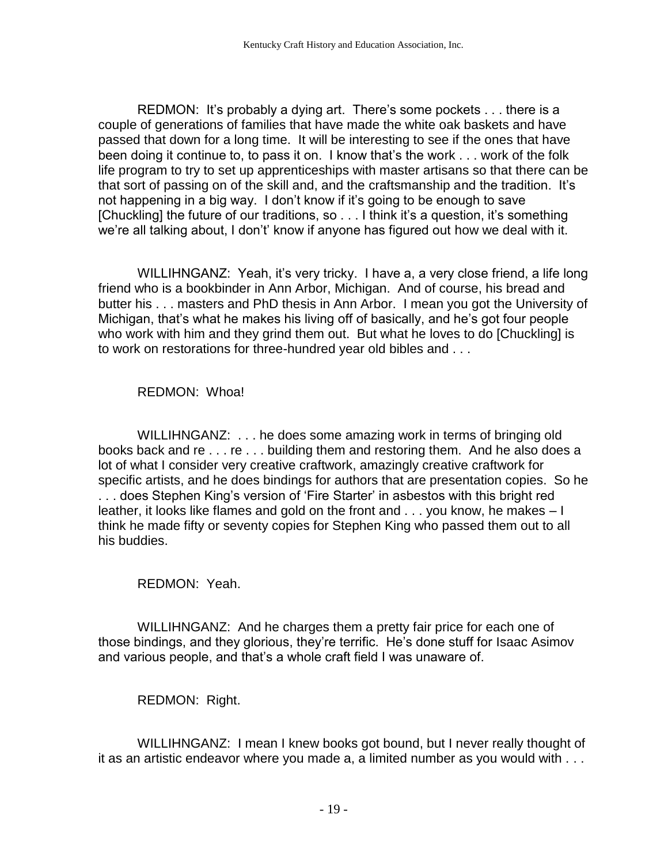REDMON: It's probably a dying art. There's some pockets . . . there is a couple of generations of families that have made the white oak baskets and have passed that down for a long time. It will be interesting to see if the ones that have been doing it continue to, to pass it on. I know that's the work . . . work of the folk life program to try to set up apprenticeships with master artisans so that there can be that sort of passing on of the skill and, and the craftsmanship and the tradition. It's not happening in a big way. I don't know if it's going to be enough to save [Chuckling] the future of our traditions, so . . . I think it's a question, it's something we're all talking about, I don't' know if anyone has figured out how we deal with it.

WILLIHNGANZ: Yeah, it's very tricky. I have a, a very close friend, a life long friend who is a bookbinder in Ann Arbor, Michigan. And of course, his bread and butter his . . . masters and PhD thesis in Ann Arbor. I mean you got the University of Michigan, that's what he makes his living off of basically, and he's got four people who work with him and they grind them out. But what he loves to do [Chuckling] is to work on restorations for three-hundred year old bibles and . . .

REDMON: Whoa!

WILLIHNGANZ: . . . he does some amazing work in terms of bringing old books back and re . . . re . . . building them and restoring them. And he also does a lot of what I consider very creative craftwork, amazingly creative craftwork for specific artists, and he does bindings for authors that are presentation copies. So he . . . does Stephen King's version of 'Fire Starter' in asbestos with this bright red leather, it looks like flames and gold on the front and . . . you know, he makes – I think he made fifty or seventy copies for Stephen King who passed them out to all his buddies.

REDMON: Yeah.

WILLIHNGANZ: And he charges them a pretty fair price for each one of those bindings, and they glorious, they're terrific. He's done stuff for Isaac Asimov and various people, and that's a whole craft field I was unaware of.

REDMON: Right.

WILLIHNGANZ: I mean I knew books got bound, but I never really thought of it as an artistic endeavor where you made a, a limited number as you would with . . .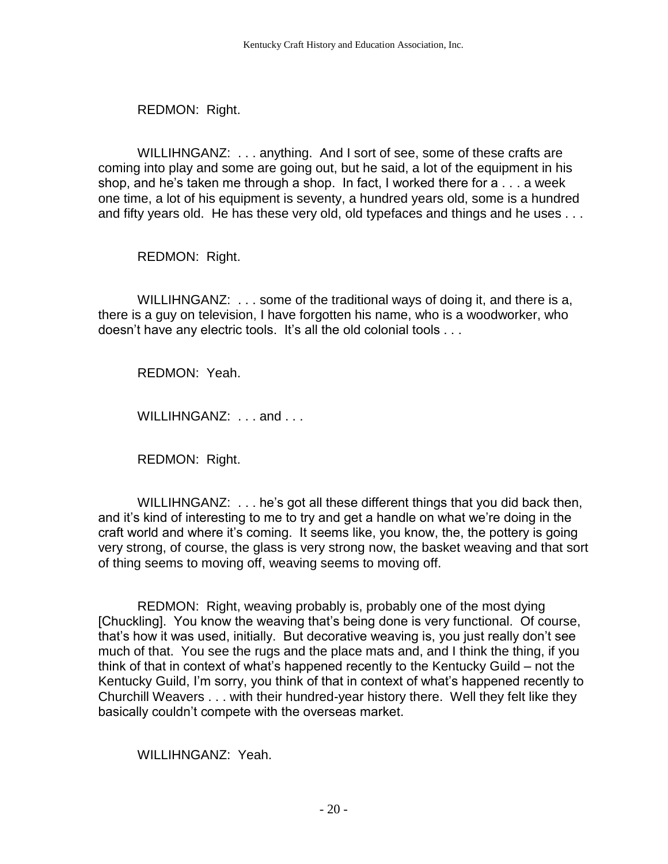REDMON: Right.

WILLIHNGANZ: . . . anything. And I sort of see, some of these crafts are coming into play and some are going out, but he said, a lot of the equipment in his shop, and he's taken me through a shop. In fact, I worked there for a . . . a week one time, a lot of his equipment is seventy, a hundred years old, some is a hundred and fifty years old. He has these very old, old typefaces and things and he uses . . .

REDMON: Right.

WILLIHNGANZ: . . . some of the traditional ways of doing it, and there is a, there is a guy on television, I have forgotten his name, who is a woodworker, who doesn't have any electric tools. It's all the old colonial tools . . .

REDMON: Yeah.

WILLIHNGANZ: ... and ...

REDMON: Right.

WILLIHNGANZ: . . . he's got all these different things that you did back then, and it's kind of interesting to me to try and get a handle on what we're doing in the craft world and where it's coming. It seems like, you know, the, the pottery is going very strong, of course, the glass is very strong now, the basket weaving and that sort of thing seems to moving off, weaving seems to moving off.

REDMON: Right, weaving probably is, probably one of the most dying [Chuckling]. You know the weaving that's being done is very functional. Of course, that's how it was used, initially. But decorative weaving is, you just really don't see much of that. You see the rugs and the place mats and, and I think the thing, if you think of that in context of what's happened recently to the Kentucky Guild – not the Kentucky Guild, I'm sorry, you think of that in context of what's happened recently to Churchill Weavers . . . with their hundred-year history there. Well they felt like they basically couldn't compete with the overseas market.

WILLIHNGANZ: Yeah.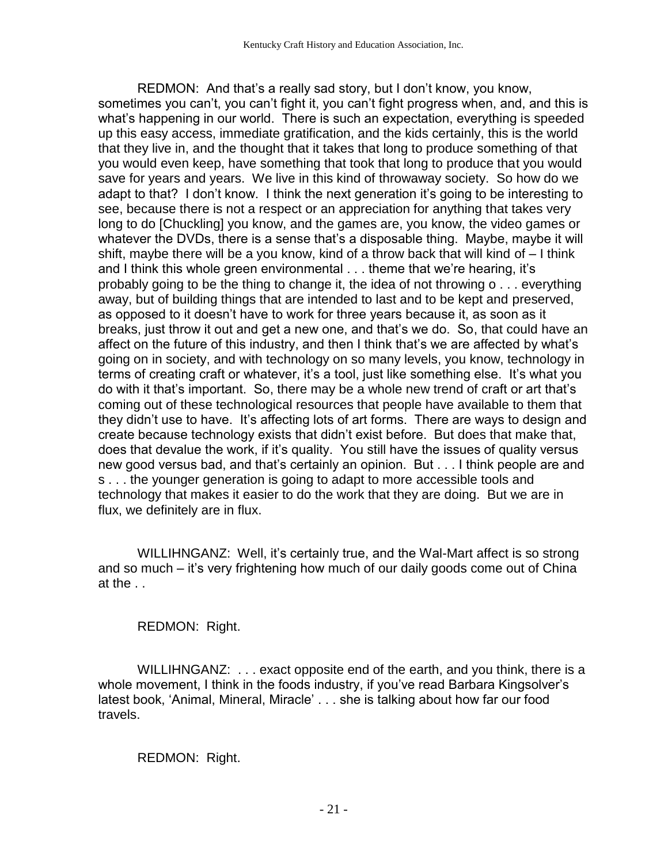REDMON: And that's a really sad story, but I don't know, you know, sometimes you can't, you can't fight it, you can't fight progress when, and, and this is what's happening in our world. There is such an expectation, everything is speeded up this easy access, immediate gratification, and the kids certainly, this is the world that they live in, and the thought that it takes that long to produce something of that you would even keep, have something that took that long to produce that you would save for years and years. We live in this kind of throwaway society. So how do we adapt to that? I don't know. I think the next generation it's going to be interesting to see, because there is not a respect or an appreciation for anything that takes very long to do [Chuckling] you know, and the games are, you know, the video games or whatever the DVDs, there is a sense that's a disposable thing. Maybe, maybe it will shift, maybe there will be a you know, kind of a throw back that will kind of – I think and I think this whole green environmental . . . theme that we're hearing, it's probably going to be the thing to change it, the idea of not throwing o . . . everything away, but of building things that are intended to last and to be kept and preserved, as opposed to it doesn't have to work for three years because it, as soon as it breaks, just throw it out and get a new one, and that's we do. So, that could have an affect on the future of this industry, and then I think that's we are affected by what's going on in society, and with technology on so many levels, you know, technology in terms of creating craft or whatever, it's a tool, just like something else. It's what you do with it that's important. So, there may be a whole new trend of craft or art that's coming out of these technological resources that people have available to them that they didn't use to have. It's affecting lots of art forms. There are ways to design and create because technology exists that didn't exist before. But does that make that, does that devalue the work, if it's quality. You still have the issues of quality versus new good versus bad, and that's certainly an opinion. But . . . I think people are and s . . . the younger generation is going to adapt to more accessible tools and technology that makes it easier to do the work that they are doing. But we are in flux, we definitely are in flux.

WILLIHNGANZ: Well, it's certainly true, and the Wal-Mart affect is so strong and so much – it's very frightening how much of our daily goods come out of China at the . .

REDMON: Right.

WILLIHNGANZ: . . . exact opposite end of the earth, and you think, there is a whole movement, I think in the foods industry, if you've read Barbara Kingsolver's latest book, 'Animal, Mineral, Miracle' . . . she is talking about how far our food travels.

REDMON: Right.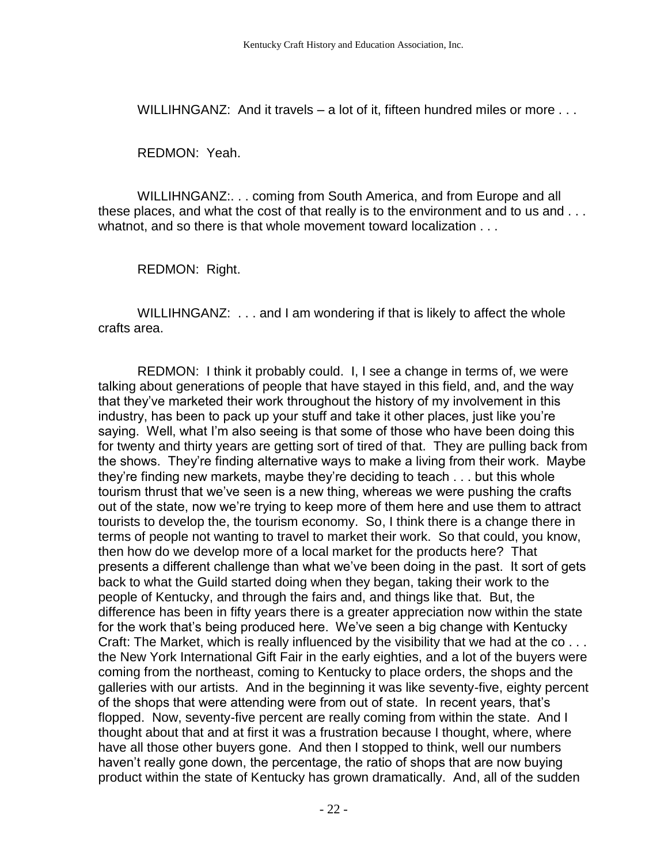WILLIHNGANZ: And it travels – a lot of it, fifteen hundred miles or more ...

REDMON: Yeah.

WILLIHNGANZ:. . . coming from South America, and from Europe and all these places, and what the cost of that really is to the environment and to us and . . . whatnot, and so there is that whole movement toward localization . . .

REDMON: Right.

WILLIHNGANZ: . . . and I am wondering if that is likely to affect the whole crafts area.

REDMON: I think it probably could. I, I see a change in terms of, we were talking about generations of people that have stayed in this field, and, and the way that they've marketed their work throughout the history of my involvement in this industry, has been to pack up your stuff and take it other places, just like you're saying. Well, what I'm also seeing is that some of those who have been doing this for twenty and thirty years are getting sort of tired of that. They are pulling back from the shows. They're finding alternative ways to make a living from their work. Maybe they're finding new markets, maybe they're deciding to teach . . . but this whole tourism thrust that we've seen is a new thing, whereas we were pushing the crafts out of the state, now we're trying to keep more of them here and use them to attract tourists to develop the, the tourism economy. So, I think there is a change there in terms of people not wanting to travel to market their work. So that could, you know, then how do we develop more of a local market for the products here? That presents a different challenge than what we've been doing in the past. It sort of gets back to what the Guild started doing when they began, taking their work to the people of Kentucky, and through the fairs and, and things like that. But, the difference has been in fifty years there is a greater appreciation now within the state for the work that's being produced here. We've seen a big change with Kentucky Craft: The Market, which is really influenced by the visibility that we had at the co... the New York International Gift Fair in the early eighties, and a lot of the buyers were coming from the northeast, coming to Kentucky to place orders, the shops and the galleries with our artists. And in the beginning it was like seventy-five, eighty percent of the shops that were attending were from out of state. In recent years, that's flopped. Now, seventy-five percent are really coming from within the state. And I thought about that and at first it was a frustration because I thought, where, where have all those other buyers gone. And then I stopped to think, well our numbers haven't really gone down, the percentage, the ratio of shops that are now buying product within the state of Kentucky has grown dramatically. And, all of the sudden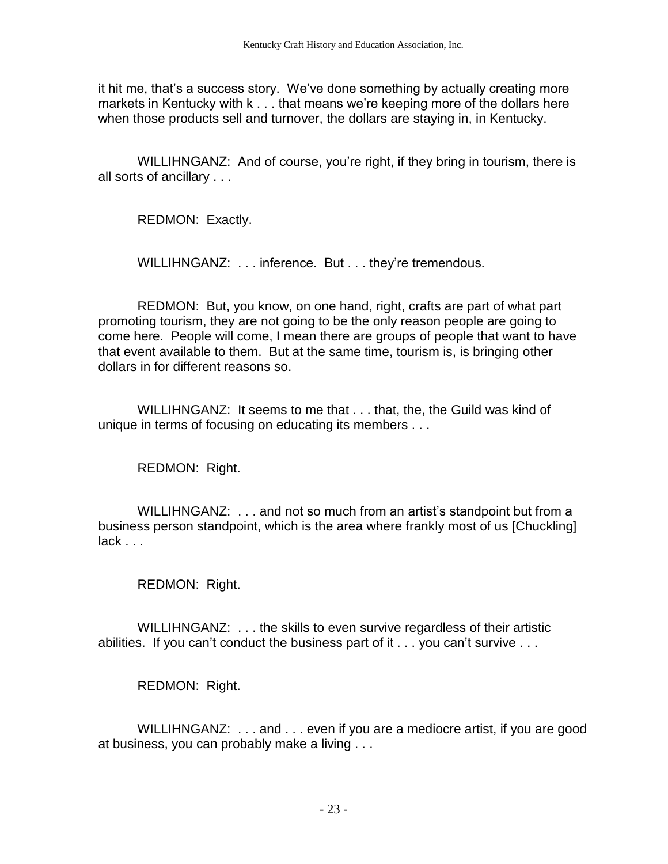it hit me, that's a success story. We've done something by actually creating more markets in Kentucky with k . . . that means we're keeping more of the dollars here when those products sell and turnover, the dollars are staying in, in Kentucky.

WILLIHNGANZ: And of course, you're right, if they bring in tourism, there is all sorts of ancillary . . .

REDMON: Exactly.

WILLIHNGANZ: . . . inference. But . . . they're tremendous.

REDMON: But, you know, on one hand, right, crafts are part of what part promoting tourism, they are not going to be the only reason people are going to come here. People will come, I mean there are groups of people that want to have that event available to them. But at the same time, tourism is, is bringing other dollars in for different reasons so.

WILLIHNGANZ: It seems to me that . . . that, the, the Guild was kind of unique in terms of focusing on educating its members . . .

REDMON: Right.

WILLIHNGANZ: . . . and not so much from an artist's standpoint but from a business person standpoint, which is the area where frankly most of us [Chuckling] lack . . .

REDMON: Right.

WILLIHNGANZ: . . . the skills to even survive regardless of their artistic abilities. If you can't conduct the business part of it . . . you can't survive . . .

REDMON: Right.

WILLIHNGANZ: ... and ... even if you are a mediocre artist, if you are good at business, you can probably make a living . . .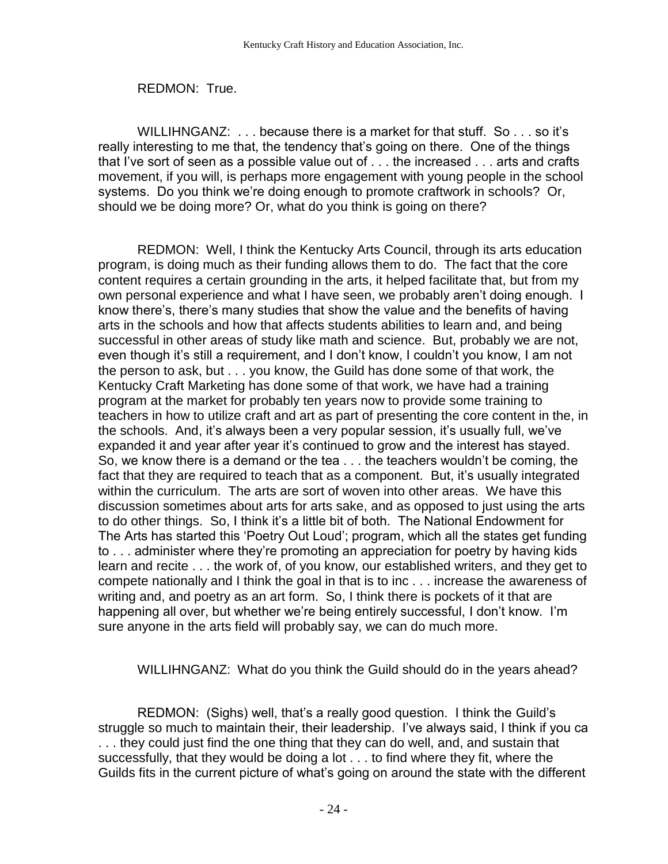## REDMON: True.

WILLIHNGANZ: ... because there is a market for that stuff. So ... so it's really interesting to me that, the tendency that's going on there. One of the things that I've sort of seen as a possible value out of . . . the increased . . . arts and crafts movement, if you will, is perhaps more engagement with young people in the school systems. Do you think we're doing enough to promote craftwork in schools? Or, should we be doing more? Or, what do you think is going on there?

REDMON: Well, I think the Kentucky Arts Council, through its arts education program, is doing much as their funding allows them to do. The fact that the core content requires a certain grounding in the arts, it helped facilitate that, but from my own personal experience and what I have seen, we probably aren't doing enough. I know there's, there's many studies that show the value and the benefits of having arts in the schools and how that affects students abilities to learn and, and being successful in other areas of study like math and science. But, probably we are not, even though it's still a requirement, and I don't know, I couldn't you know, I am not the person to ask, but . . . you know, the Guild has done some of that work, the Kentucky Craft Marketing has done some of that work, we have had a training program at the market for probably ten years now to provide some training to teachers in how to utilize craft and art as part of presenting the core content in the, in the schools. And, it's always been a very popular session, it's usually full, we've expanded it and year after year it's continued to grow and the interest has stayed. So, we know there is a demand or the tea . . . the teachers wouldn't be coming, the fact that they are required to teach that as a component. But, it's usually integrated within the curriculum. The arts are sort of woven into other areas. We have this discussion sometimes about arts for arts sake, and as opposed to just using the arts to do other things. So, I think it's a little bit of both. The National Endowment for The Arts has started this 'Poetry Out Loud'; program, which all the states get funding to . . . administer where they're promoting an appreciation for poetry by having kids learn and recite . . . the work of, of you know, our established writers, and they get to compete nationally and I think the goal in that is to inc . . . increase the awareness of writing and, and poetry as an art form. So, I think there is pockets of it that are happening all over, but whether we're being entirely successful, I don't know. I'm sure anyone in the arts field will probably say, we can do much more.

WILLIHNGANZ: What do you think the Guild should do in the years ahead?

REDMON: (Sighs) well, that's a really good question. I think the Guild's struggle so much to maintain their, their leadership. I've always said, I think if you ca . . . they could just find the one thing that they can do well, and, and sustain that successfully, that they would be doing a lot . . . to find where they fit, where the Guilds fits in the current picture of what's going on around the state with the different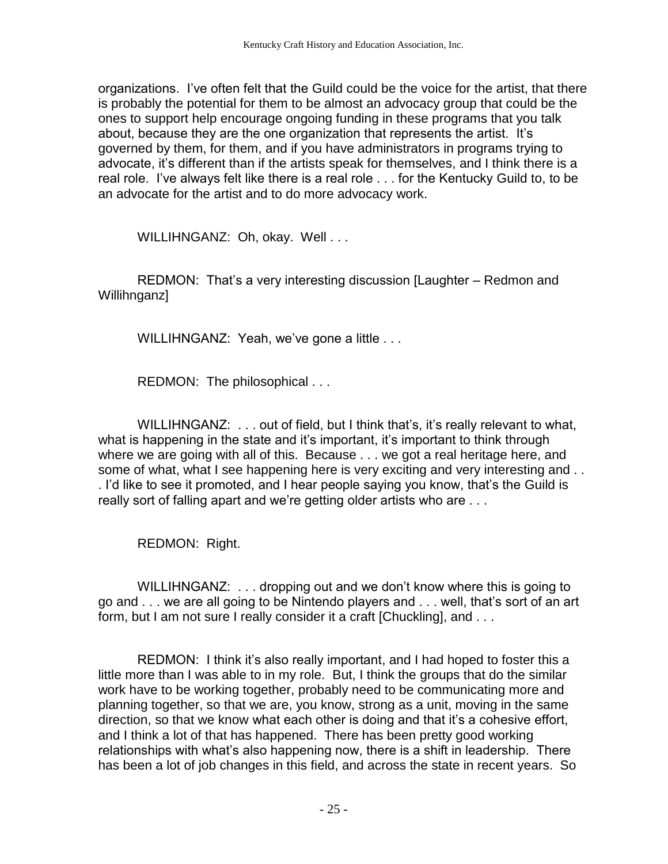organizations. I've often felt that the Guild could be the voice for the artist, that there is probably the potential for them to be almost an advocacy group that could be the ones to support help encourage ongoing funding in these programs that you talk about, because they are the one organization that represents the artist. It's governed by them, for them, and if you have administrators in programs trying to advocate, it's different than if the artists speak for themselves, and I think there is a real role. I've always felt like there is a real role . . . for the Kentucky Guild to, to be an advocate for the artist and to do more advocacy work.

WILLIHNGANZ: Oh, okay. Well . . .

REDMON: That's a very interesting discussion [Laughter – Redmon and Willihnganz]

WILLIHNGANZ: Yeah, we've gone a little . . .

REDMON: The philosophical . . .

WILLIHNGANZ: . . . out of field, but I think that's, it's really relevant to what, what is happening in the state and it's important, it's important to think through where we are going with all of this. Because . . . we got a real heritage here, and some of what, what I see happening here is very exciting and very interesting and ... . I'd like to see it promoted, and I hear people saying you know, that's the Guild is really sort of falling apart and we're getting older artists who are . . .

REDMON: Right.

WILLIHNGANZ: . . . dropping out and we don't know where this is going to go and . . . we are all going to be Nintendo players and . . . well, that's sort of an art form, but I am not sure I really consider it a craft [Chuckling], and . . .

REDMON: I think it's also really important, and I had hoped to foster this a little more than I was able to in my role. But, I think the groups that do the similar work have to be working together, probably need to be communicating more and planning together, so that we are, you know, strong as a unit, moving in the same direction, so that we know what each other is doing and that it's a cohesive effort, and I think a lot of that has happened. There has been pretty good working relationships with what's also happening now, there is a shift in leadership. There has been a lot of job changes in this field, and across the state in recent years. So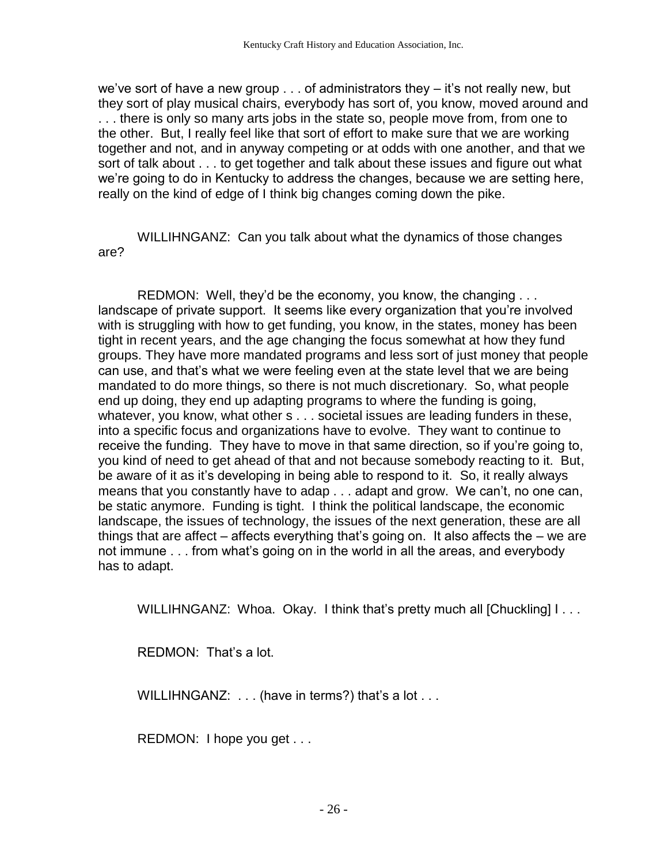we've sort of have a new group . . . of administrators they – it's not really new, but they sort of play musical chairs, everybody has sort of, you know, moved around and . . . there is only so many arts jobs in the state so, people move from, from one to the other. But, I really feel like that sort of effort to make sure that we are working together and not, and in anyway competing or at odds with one another, and that we sort of talk about . . . to get together and talk about these issues and figure out what we're going to do in Kentucky to address the changes, because we are setting here, really on the kind of edge of I think big changes coming down the pike.

WILLIHNGANZ: Can you talk about what the dynamics of those changes are?

REDMON: Well, they'd be the economy, you know, the changing . . . landscape of private support. It seems like every organization that you're involved with is struggling with how to get funding, you know, in the states, money has been tight in recent years, and the age changing the focus somewhat at how they fund groups. They have more mandated programs and less sort of just money that people can use, and that's what we were feeling even at the state level that we are being mandated to do more things, so there is not much discretionary. So, what people end up doing, they end up adapting programs to where the funding is going, whatever, you know, what other s . . . societal issues are leading funders in these, into a specific focus and organizations have to evolve. They want to continue to receive the funding. They have to move in that same direction, so if you're going to, you kind of need to get ahead of that and not because somebody reacting to it. But, be aware of it as it's developing in being able to respond to it. So, it really always means that you constantly have to adap . . . adapt and grow. We can't, no one can, be static anymore. Funding is tight. I think the political landscape, the economic landscape, the issues of technology, the issues of the next generation, these are all things that are affect – affects everything that's going on. It also affects the – we are not immune . . . from what's going on in the world in all the areas, and everybody has to adapt.

WILLIHNGANZ: Whoa. Okay. I think that's pretty much all [Chuckling] I...

REDMON: That's a lot.

WILLIHNGANZ: ... (have in terms?) that's a lot ...

REDMON: I hope you get . . .